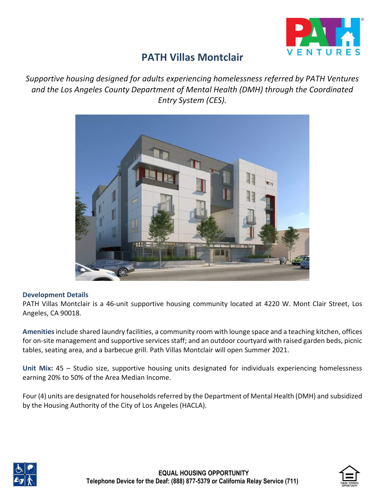

# **PATH Villas Montclair**

*Supportive housing designed for adults experiencing homelessness referred by PATH Ventures and the Los Angeles County Department of Mental Health (DMH) through the Coordinated Entry System (CES).*



#### **Development Details**

PATH Villas Montclair is a 46-unit supportive housing community located at 4220 W. Mont Clair Street, Los Angeles, CA 90018.

**Amenities**include shared laundry facilities, a community room with lounge space and a teaching kitchen, offices for on-site management and supportive services staff; and an outdoor courtyard with raised garden beds, picnic tables, seating area, and a barbecue grill. Path Villas Montclair will open Summer 2021.

**Unit Mix:** 45 – Studio size, supportive housing units designated for individuals experiencing homelessness earning 20% to 50% of the Area Median Income.

Four (4) units are designated for households referred by the Department of Mental Health (DMH) and subsidized by the Housing Authority of the City of Los Angeles (HACLA).



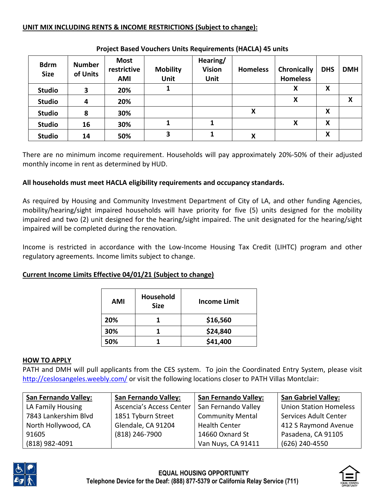## **UNIT MIX INCLUDING RENTS & INCOME RESTRICTIONS (Subject to change):**

| <b>Bdrm</b><br><b>Size</b> | <b>Number</b><br>of Units | <b>Most</b><br>restrictive<br><b>AMI</b> | <b>Mobility</b><br><b>Unit</b> | Hearing/<br><b>Vision</b><br>Unit | <b>Homeless</b> | <b>Chronically</b><br><b>Homeless</b> | <b>DHS</b> | <b>DMH</b> |
|----------------------------|---------------------------|------------------------------------------|--------------------------------|-----------------------------------|-----------------|---------------------------------------|------------|------------|
| <b>Studio</b>              | 3                         | 20%                                      |                                |                                   |                 | X                                     | X          |            |
| <b>Studio</b>              | 4                         | 20%                                      |                                |                                   |                 | X                                     |            | X          |
| <b>Studio</b>              | 8                         | 30%                                      |                                |                                   | X               |                                       | X          |            |
| <b>Studio</b>              | 16                        | 30%                                      |                                |                                   |                 | х                                     | X          |            |
| <b>Studio</b>              | 14                        | 50%                                      | 3                              |                                   | X               |                                       | X          |            |

#### **Project Based Vouchers Units Requirements (HACLA) 45 units**

There are no minimum income requirement. Households will pay approximately 20%-50% of their adjusted monthly income in rent as determined by HUD.

### **All households must meet HACLA eligibility requirements and occupancy standards.**

As required by Housing and Community Investment Department of City of LA, and other funding Agencies, mobility/hearing/sight impaired households will have priority for five (5) units designed for the mobility impaired and two (2) unit designed for the hearing/sight impaired. The unit designated for the hearing/sight impaired will be completed during the renovation.

Income is restricted in accordance with the Low-Income Housing Tax Credit (LIHTC) program and other regulatory agreements. Income limits subject to change.

### **Current Income Limits Effective 04/01/21 (Subject to change)**

| AMI | Household<br><b>Size</b> | <b>Income Limit</b> |
|-----|--------------------------|---------------------|
| 20% |                          | \$16,560            |
| 30% |                          | \$24,840            |
| 50% |                          | \$41,400            |

#### **HOW TO APPLY**

PATH and DMH will pull applicants from the CES system. To join the Coordinated Entry System, please visit <http://ceslosangeles.weebly.com/> or visit the following locations closer to PATH Villas Montclair:

| <b>San Fernando Valley:</b> | <b>San Fernando Valley:</b> | <b>San Fernando Valley:</b> | <b>San Gabriel Valley:</b>    |
|-----------------------------|-----------------------------|-----------------------------|-------------------------------|
| LA Family Housing           | Ascencia's Access Center    | San Fernando Valley         | <b>Union Station Homeless</b> |
| 7843 Lankershim Blvd        | 1851 Tyburn Street          | <b>Community Mental</b>     | Services Adult Center         |
| North Hollywood, CA         | Glendale, CA 91204          | <b>Health Center</b>        | 412 S Raymond Avenue          |
| 91605                       | (818) 246-7900              | 14660 Oxnard St             | Pasadena, CA 91105            |
| (818) 982-4091              |                             | Van Nuys, CA 91411          | (626) 240-4550                |



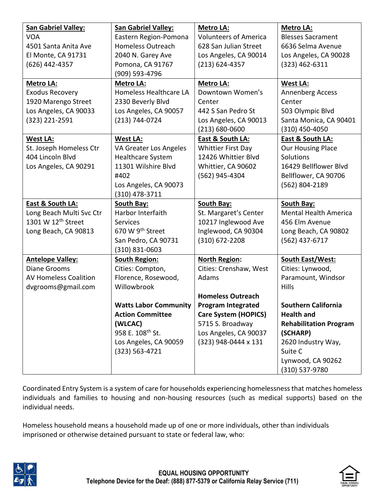| <b>San Gabriel Valley:</b>     | <b>San Gabriel Valley:</b>   | <b>Metro LA:</b>             | <b>Metro LA:</b>              |
|--------------------------------|------------------------------|------------------------------|-------------------------------|
| <b>VOA</b>                     | Eastern Region-Pomona        | <b>Volunteers of America</b> | <b>Blesses Sacrament</b>      |
| 4501 Santa Anita Ave           | <b>Homeless Outreach</b>     | 628 San Julian Street        | 6636 Selma Avenue             |
| El Monte, CA 91731             | 2040 N. Garey Ave            | Los Angeles, CA 90014        | Los Angeles, CA 90028         |
| (626) 442-4357                 | Pomona, CA 91767             | $(213) 624 - 4357$           | $(323)$ 462-6311              |
|                                | (909) 593-4796               |                              |                               |
| Metro LA:                      | <b>Metro LA:</b>             | Metro LA:                    | <b>West LA:</b>               |
| <b>Exodus Recovery</b>         | Homeless Healthcare LA       | Downtown Women's             | Annenberg Access              |
| 1920 Marengo Street            | 2330 Beverly Blvd            | Center                       | Center                        |
| Los Angeles, CA 90033          | Los Angeles, CA 90057        | 442 S San Pedro St           | 503 Olympic Blvd              |
| (323) 221-2591                 | (213) 744-0724               | Los Angeles, CA 90013        | Santa Monica, CA 90401        |
|                                |                              | $(213) 680 - 0600$           | (310) 450-4050                |
| <b>West LA:</b>                | <b>West LA:</b>              | <b>East &amp; South LA:</b>  | <b>East &amp; South LA:</b>   |
| St. Joseph Homeless Ctr        | VA Greater Los Angeles       | <b>Whittier First Day</b>    | <b>Our Housing Place</b>      |
| 404 Lincoln Blvd               | Healthcare System            | 12426 Whittier Blvd          | Solutions                     |
| Los Angeles, CA 90291          | 11301 Wilshire Blvd          | Whittier, CA 90602           | 16429 Bellflower Blvd         |
|                                | #402                         | (562) 945-4304               | Bellflower, CA 90706          |
|                                | Los Angeles, CA 90073        |                              | (562) 804-2189                |
|                                | (310) 478-3711               |                              |                               |
| East & South LA:               | <b>South Bay:</b>            | <b>South Bay:</b>            | <b>South Bay:</b>             |
| Long Beach Multi Svc Ctr       | Harbor Interfaith            | St. Margaret's Center        | <b>Mental Health America</b>  |
|                                |                              |                              |                               |
| 1301 W 12 <sup>th</sup> Street | <b>Services</b>              | 10217 Inglewood Ave          | 456 Elm Avenue                |
| Long Beach, CA 90813           | 670 W 9th Street             | Inglewood, CA 90304          | Long Beach, CA 90802          |
|                                | San Pedro, CA 90731          | $(310)$ 672-2208             | (562) 437-6717                |
|                                | (310) 831-0603               |                              |                               |
| <b>Antelope Valley:</b>        | <b>South Region:</b>         | <b>North Region:</b>         | South East/West:              |
| <b>Diane Grooms</b>            | Cities: Compton,             | Cities: Crenshaw, West       | Cities: Lynwood,              |
| <b>AV Homeless Coalition</b>   | Florence, Rosewood,          | Adams                        | Paramount, Windsor            |
| dvgrooms@gmail.com             | Willowbrook                  |                              | <b>Hills</b>                  |
|                                |                              | <b>Homeless Outreach</b>     |                               |
|                                | <b>Watts Labor Community</b> | <b>Program Integrated</b>    | <b>Southern California</b>    |
|                                | <b>Action Committee</b>      | <b>Care System (HOPICS)</b>  | <b>Health and</b>             |
|                                | (WLCAC)                      | 5715 S. Broadway             | <b>Rehabilitation Program</b> |
|                                | 958 E. 108 <sup>th</sup> St. | Los Angeles, CA 90037        | (SCHARP)                      |
|                                | Los Angeles, CA 90059        | (323) 948-0444 x 131         | 2620 Industry Way,            |
|                                | $(323) 563 - 4721$           |                              | Suite C                       |
|                                |                              |                              | Lynwood, CA 90262             |

Coordinated Entry System is a system of care for households experiencing homelessness that matches homeless individuals and families to housing and non-housing resources (such as medical supports) based on the individual needs.

Homeless household means a household made up of one or more individuals, other than individuals imprisoned or otherwise detained pursuant to state or federal law, who:



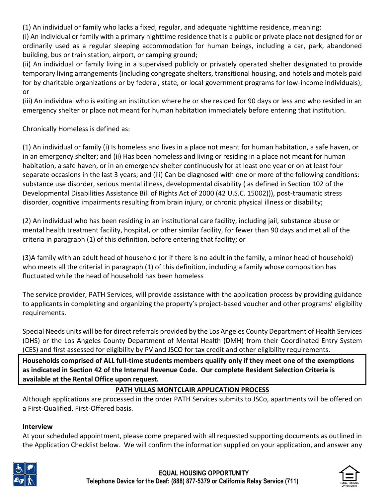(1) An individual or family who lacks a fixed, regular, and adequate nighttime residence, meaning:

(i) An individual or family with a primary nighttime residence that is a public or private place not designed for or ordinarily used as a regular sleeping accommodation for human beings, including a car, park, abandoned building, bus or train station, airport, or camping ground;

(ii) An individual or family living in a supervised publicly or privately operated shelter designated to provide temporary living arrangements (including congregate shelters, transitional housing, and hotels and motels paid for by charitable organizations or by federal, state, or local government programs for low-income individuals); or

(iii) An individual who is exiting an institution where he or she resided for 90 days or less and who resided in an emergency shelter or place not meant for human habitation immediately before entering that institution.

Chronically Homeless is defined as:

(1) An individual or family (i) Is homeless and lives in a place not meant for human habitation, a safe haven, or in an emergency shelter; and (ii) Has been homeless and living or residing in a place not meant for human habitation, a safe haven, or in an emergency shelter continuously for at least one year or on at least four separate occasions in the last 3 years; and (iii) Can be diagnosed with one or more of the following conditions: substance use disorder, serious mental illness, developmental disability ( as defined in Section 102 of the Developmental Disabilities Assistance Bill of Rights Act of 2000 (42 U.S.C. 15002))), post-traumatic stress disorder, cognitive impairments resulting from brain injury, or chronic physical illness or disability;

(2) An individual who has been residing in an institutional care facility, including jail, substance abuse or mental health treatment facility, hospital, or other similar facility, for fewer than 90 days and met all of the criteria in paragraph (1) of this definition, before entering that facility; or

(3)A family with an adult head of household (or if there is no adult in the family, a minor head of household) who meets all the criterial in paragraph (1) of this definition, including a family whose composition has fluctuated while the head of household has been homeless

The service provider, PATH Services, will provide assistance with the application process by providing guidance to applicants in completing and organizing the property's project-based voucher and other programs' eligibility requirements.

Special Needs units will be for direct referrals provided by the Los Angeles County Department of Health Services (DHS) or the Los Angeles County Department of Mental Health (DMH) from their Coordinated Entry System (CES) and first assessed for eligibility by PV and JSCO for tax credit and other eligibility requirements.

**Households comprised of ALL full-time students members qualify only if they meet one of the exemptions as indicated in Section 42 of the Internal Revenue Code. Our complete Resident Selection Criteria is available at the Rental Office upon request.**

# **PATH VILLAS MONTCLAIR APPLICATION PROCESS**

Although applications are processed in the order PATH Services submits to JSCo, apartments will be offered on a First-Qualified, First-Offered basis.

# **Interview**

At your scheduled appointment, please come prepared with all requested supporting documents as outlined in the Application Checklist below. We will confirm the information supplied on your application, and answer any